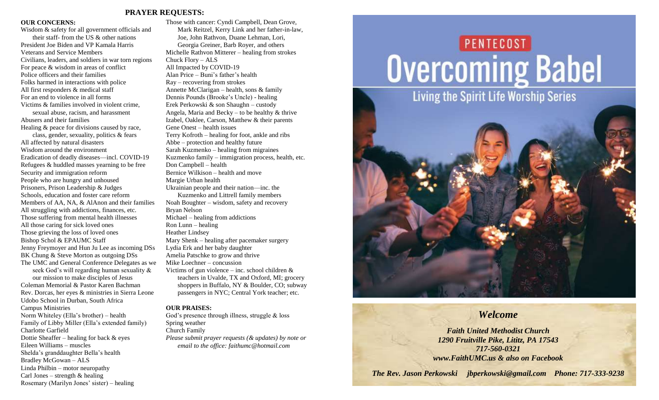#### **PRAYER REQUESTS:**

#### **OUR CONCERNS:**

Wisdom & safety for all government officials and their staff- from the US & other nations President Joe Biden and VP Kamala Harris Veterans and Service Members Civilians, leaders, and soldiers in war torn regions For peace & wisdom in areas of conflict Police officers and their families Folks harmed in interactions with police All first responders & medical staff For an end to violence in all forms Victims & families involved in violent crime, sexual abuse, racism, and harassment Abusers and their families Healing & peace for divisions caused by race, class, gender, sexuality, politics & fears All affected by natural disasters Wisdom around the environment Eradication of deadly diseases—incl. COVID-19 Refugees & huddled masses yearning to be free Security and immigration reform People who are hungry and unhoused Prisoners, Prison Leadership & Judges Schools, education and foster care reform Members of AA, NA, & AlAnon and their families All struggling with addictions, finances, etc. Those suffering from mental health illnesses All those caring for sick loved ones Those grieving the loss of loved ones Bishop Schol & EPAUMC Staff Jenny Freymoyer and Hun Ju Lee as incoming DSs BK Chung & Steve Morton as outgoing DSs The UMC and General Conference Delegates as we seek God's will regarding human sexuality & our mission to make disciples of Jesus Coleman Memorial & Pastor Karen Bachman Rev. Dorcas, her eyes & ministries in Sierra Leone Udobo School in Durban, South Africa Campus Ministries Norm Whiteley (Ella's brother) – health Family of Libby Miller (Ella's extended family) Charlotte Garfield Dottie Sheaffer – healing for back  $\&$  eyes Eileen Williams – muscles Shelda's granddaughter Bella's health Bradley McGowan – ALS Linda Philbin – motor neuropathy

Carl Jones – strength  $&$  healing

Rosemary (Marilyn Jones' sister) – healing

Those with cancer: Cyndi Campbell, Dean Grove, Mark Reitzel, Kerry Link and her father-in-law, Joe, John Rathvon, Duane Lehman, Lori, Georgia Greiner, Barb Royer, and others Michelle Rathvon Mitterer – healing from strokes Chuck Flory – ALS All Impacted by COVID-19 Alan Price – Buni's father's health Ray – recovering from strokes Annette McClarigan – health, sons & family Dennis Pounds (Brooke's Uncle) - healing Erek Perkowski & son Shaughn – custody Angela, Maria and Becky – to be healthy  $&$  thrive Izabel, Oaklee, Carson, Matthew & their parents Gene Onest – health issues Terry Kofroth – healing for foot, ankle and ribs Abbe – protection and healthy future Sarah Kuzmenko – healing from migraines Kuzmenko family – immigration process, health, etc. Don Campbell – health Bernice Wilkison – health and move Margie Urban health Ukrainian people and their nation—inc. the Kuzmenko and Littrell family members Noah Boughter – wisdom, safety and recovery Bryan Nelson Michael – healing from addictions Ron Lunn – healing Heather Lindsey Mary Shenk – healing after pacemaker surgery Lydia Erk and her baby daughter Amelia Patschke to grow and thrive Mike Loechner – concussion Victims of gun violence – inc. school children & teachers in Uvalde, TX and Oxford, MI; grocery shoppers in Buffalo, NY & Boulder, CO; subway passengers in NYC; Central York teacher; etc.

#### **OUR PRAISES:**

God's presence through illness, struggle & loss Spring weather Church Family *Please submit prayer requests (& updates) by note or email to the office: faithumc@hotmail.com*

# **PENTECOST Overcoming Babel**



### *Welcome*

*Faith United Methodist Church 1290 Fruitville Pike, Lititz, PA 17543 717-560-0321 www.FaithUMC.us & also on Facebook*

*The Rev. Jason Perkowski jbperkowski@gmail.com Phone: 717-333-9238*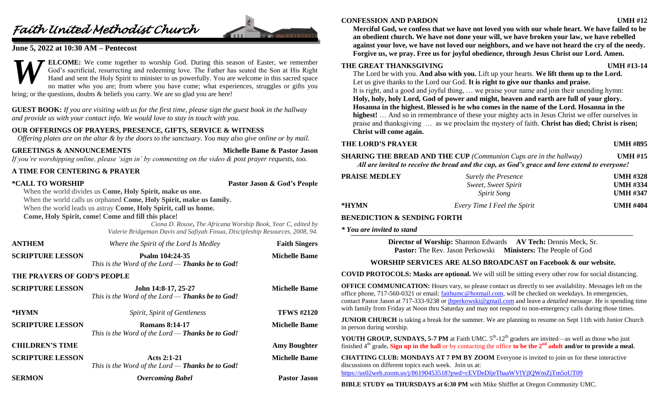## *Faith United Methodist Church*



#### **June 5, 2022 at 10:30 AM – Pentecost**

**ELCOME:** We come together to worship God. During this season of Easter, we remember God's sacrificial, resurrecting and redeeming love. The Father has seated the Son at His Right Hand and sent the Holy Spirit to minister to us powerfully. You are welcome in this sacred space no matter who you are; from where you have come; what experiences, struggles or gifts you bring; or the questions, doubts & beliefs you carry. We are so glad you are here! *W*

**GUEST BOOK:** *If you are visiting with us for the first time, please sign the guest book in the hallway and provide us with your contact info. We would love to stay in touch with you.*

#### **OUR OFFERINGS OF PRAYERS, PRESENCE, GIFTS, SERVICE & WITNESS**

*Offering plates are on the altar & by the doors to the sanctuary. You may also give online or by mail.*

#### **GREETINGS & ANNOUNCEMENTS Michelle Bame & Pastor Jason**

*If you're worshipping online, please 'sign in' by commenting on the video & post prayer requests, too.*

#### **A TIME FOR CENTERING & PRAYER**

**\*CALL TO WORSHIP Pastor Jason & God's People**

When the world divides us **Come, Holy Spirit, make us one.**

When the world calls us orphaned **Come, Holy Spirit, make us family.**

When the world leads us astray **Come, Holy Spirit, call us home.**

**Come, Holy Spirit, come! Come and fill this place!**

*Ciona D. Rouse***,** *The Africana Worship Book, Year C, edited by Valerie Bridgeman Davis and Safiyah Fosua, Discipleship Resources, 2008, 94.*

| <b>ANTHEM</b>               | Where the Spirit of the Lord Is Medley                                      | <b>Faith Singers</b> |
|-----------------------------|-----------------------------------------------------------------------------|----------------------|
| <b>SCRIPTURE LESSON</b>     | Psalm 104:24-35<br>This is the Word of the Lord — Thanks be to God!         | <b>Michelle Bame</b> |
| THE PRAYERS OF GOD'S PEOPLE |                                                                             |                      |
| <b>SCRIPTURE LESSON</b>     | John 14:8-17, 25-27<br>This is the Word of the Lord $-$ Thanks be to God!   | <b>Michelle Bame</b> |
| *HYMN                       | Spirit, Spirit of Gentleness                                                | <b>TFWS #2120</b>    |
| <b>SCRIPTURE LESSON</b>     | <b>Romans 8:14-17</b><br>This is the Word of the Lord $-$ Thanks be to God! | <b>Michelle Bame</b> |
| <b>CHILDREN'S TIME</b>      |                                                                             | <b>Amy Boughter</b>  |
| <b>SCRIPTURE LESSON</b>     | Acts $2:1-21$<br>This is the Word of the Lord - Thanks be to God!           | <b>Michelle Bame</b> |
| <b>SERMON</b>               | <b>Overcoming Babel</b>                                                     | <b>Pastor Jason</b>  |
|                             |                                                                             |                      |

#### **CONFESSION AND PARDON UMH #12**

**Merciful God, we confess that we have not loved you with our whole heart. We have failed to be an obedient church. We have not done your will, we have broken your law, we have rebelled against your love, we have not loved our neighbors, and we have not heard the cry of the needy. Forgive us, we pray. Free us for joyful obedience, through Jesus Christ our Lord. Amen.**

#### **THE GREAT THANKSGIVING UMH #13-14**

The Lord be with you. **And also with you.** Lift up your hearts. **We lift them up to the Lord.** Let us give thanks to the Lord our God. **It is right to give our thanks and praise.** It is right, and a good and joyful thing, … we praise your name and join their unending hymn: **Holy, holy, holy Lord, God of power and might, heaven and earth are full of your glory. Hosanna in the highest. Blessed is he who comes in the name of the Lord. Hosanna in the highest!** … And so in remembrance of these your mighty acts in Jesus Christ we offer ourselves in praise and thanksgiving … as we proclaim the mystery of faith. **Christ has died; Christ is risen; Christ will come again.**

#### **THE LORD'S PRAYER UMH #895**

#### **SHARING THE BREAD AND THE CUP** *(Communion Cups are in the hallway)* **UMH #15** *All are invited to receive the bread and the cup, as God's grace and love extend to everyone!*

| <b>PRAISE MEDLEY</b> | <b>Surely the Presence</b>   | <b>UMH #328</b> |
|----------------------|------------------------------|-----------------|
|                      | Sweet, Sweet Spirit          | <b>UMH #334</b> |
|                      | <i>Spirit Song</i>           | <b>UMH #347</b> |
| *HYMN                | Every Time I Feel the Spirit | <b>UMH #404</b> |

#### **BENEDICTION & SENDING FORTH**

*\* You are invited to stand*

**Director of Worship:** Shannon Edwards **AV Tech:** Dennis Meck, Sr. **Pastor:** The Rev. Jason Perkowski **Ministers:** The People of God

#### **WORSHIP SERVICES ARE ALSO BROADCAST on Facebook & our website.**

**COVID PROTOCOLS: Masks are optional.** We will still be sitting every other row for social distancing.

**OFFICE COMMUNICATION:** Hours vary, so please contact us directly to see availability. Messages left on the office phone, 717-560-0321 or email[: faithumc@hotmail.com,](mailto:faithumc@hotmail.com) will be checked on weekdays. In emergencies, contact Pastor Jason at 717-333-9238 or [jbperkowski@gmail.com](mailto:jbperkowski@gmail.com) and leave a *detailed message*. He is spending time with family from Friday at Noon thru Saturday and may not respond to non-emergency calls during those times.

**JUNIOR CHURCH** is taking a break for the summer. We are planning to resume on Sept 11th with Junior Church in person during worship.

**YOUTH GROUP, SUNDAYS, 5-7 PM** at Faith UMC.  $5<sup>th</sup>$ -12<sup>th</sup> graders are invited—as well as those who just finished  $4<sup>th</sup>$  grade. Sign up in the hall or by contacting the office to be the  $2<sup>nd</sup>$  adult and/or to provide a meal.

**CHATTING CLUB: MONDAYS AT 7 PM BY ZOOM** Everyone is invited to join us for these interactive discussions on different topics each week. Join us at: <https://us02web.zoom.us/j/86190453518?pwd=cEVDeDljeThaaWVlYjlQWmZjTm5oUT09>

**BIBLE STUDY on THURSDAYS at 6:30 PM** with Mike Shifflet at Oregon Community UMC.